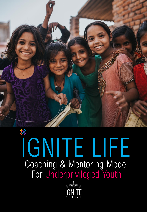

## IGNITE LIFE Coaching & Mentoring Model For Underprivileged Youth

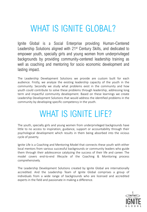### WHAT IS IGNITE GLOBAL?

Ignite Global is a Social Enterprise providing Human-Centered Leadership Solutions aligned with 21<sup>st</sup> Century Skills, and dedicated to empower youth, specially girls and young women from underprivileged backgrounds by providing community-centered leadership training as well as coaching and mentoring for socio economic development and lasting impact.

The Leadership Development Solutions we provide are custom built for each audience. Firstly, we analyze the existing leadership capacity of the youth in the community. Secondly we study what problems exist in the community and how youth could contribute to solve these problems through leadership, addressing long term and impactful community development. Based on these learnings we create Leadership Development Solutions that would address the identified problems in the community by developing specific competency in the youth.

### WHAT IS IGNITE LIFE?

The youth, specially girls and young women from underprivileged backgrounds have little to no access to inspiration, guidance, support or accountability through their psychological development which results in them being absorbed into the vicious cycle of poverty.

Ignite Life is a Coaching and Mentoring Model that connects these youth with either local mentors from various successful backgrounds or community leaders who guide them through their adolescence catalyzing the success of their life and career. The model covers end-to-end lifecycle of the Coaching & Monitoring process comprehensively.

The Leadership Development Solutions created by Ignite Global are internationally accredited. And the Leadership Team of Ignite Global comprises a group of individuals from a wide range of backgrounds who are licensed and accredited experts in the field and passionate in making a difference.

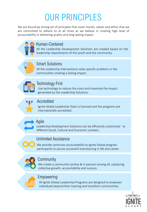### OUR PRINCIPLES

We are bound by strong set of principles that cover morals, values and ethics that we are committed to adhere to at all times as we believe in creating high level of accountability in delivering quality and long lasting impact.



### Human-Centered

All the Leadership Development Solutions are created based on the leadership requirements of the youth and the community.



### Smart Solutions

All the Leadership Interventions solve specific problems in the communities creating a lasting impact.



### Technology First

Use technology to reduce the costs and maximize the impact generated by the Leadership Solutions.



#### Accredited

Ignite Global Leadership Team is licensed and the programs are internationally accredited.



#### Agile

Leadership Development Solutions can be efficiently customized to different Social, Cultural and Economic contexts.

### Unlimited Assistance

We provide continues accountability to Ignite Global program participants to assure successful transitioning in life and career.



### **Community**

We create a community (online & in-person) among all, catalyzing collective growth, accountability and success.



### Empowering

All Ignite Global Leadership Programs are designed to empower individuals beyond their training and transform communities.

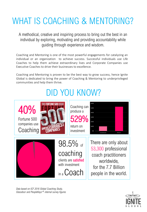### WHAT IS COACHING & MENTORING?

A methodical, creative and inspiring process to bring out the best in an individual by exploring, motivating and providing accountability while guiding through experience and wisdom.

Coaching and Mentoring is one of the most powerful engagements for catalyzing an individual or an organization to achieve success. Successful individuals use Life Coaches to help them achieve extraordinary lives and Corporate Companies use Executive Coaches to drive their businesses to excellence.

Coaching and Mentoring is proven to be the best way to grow success, hence Ignite Global is dedicated to bring the power of Coaching & Mentoring to underprivileged communities and help them thrive.

### DID YOU KNOW?



*Data based on ICF 2016 Global Coaching Study, Glassdoor and PeopleKeys® internal survey figures*

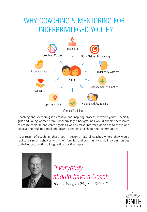### WHY COACHING & MENTORING FOR UNDERPRIVILEGED YOUTH?



Coaching and Mentoring is a creative and inspiring process, in which youth, specially girls and young women from underprivileged backgrounds would enable themselves to realize their life and career goals as well as make informed decisions to thrive and achieve their full potential and begin to change and shape their communities.

As a result of coaching, these youth become natural coaches where they would replicate similar behavior with their families and community enabling communities to thrive too, creating a long lasting positive impact.



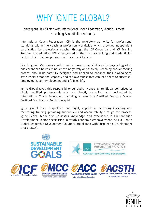### WHY IGNITE GLOBAL?

#### Ignite global is affiliated with International Coach Federation, World's Largest Coaching Accreditation Authority.

International Coach Federation (ICF) is the regulatory authority for professional standards within the coaching profession worldwide which provides independent certification for professional coaches through the ICF Credential and ICF Training Program Accreditation. ICF is recognized as the main accrediting and credentialing body for both training programs and coaches Globally.

Coaching and Mentoring youth is an immense responsibility as the psychology of an adolescent can be easily influenced negatively or positively. Coaching and Mentoring process should be carefully designed and applied to enhance their psychological state, social emotional capacity and self awareness that can lead them to successful employment, self-employment and a fulfilled life.

Ignite Global takes this responsibility seriously. Hence Ignite Global comprises of highly qualified professionals who are directly accredited and designated by International Coach Federation, including an Associate Certified Coach, a Master Certified Coach and a Psychotherapist.

Ignite global team is qualified and highly capable in delivering Coaching and Mentoring Training, providing supervision and accountability through the process. Ignite Global team also possesses knowledge and experience in Humanitarian Development Sector specializing in youth economic empowerment. And all Ignite Global Leadership Development Solutions are aligned with Sustainable Development Goals (SDGs).



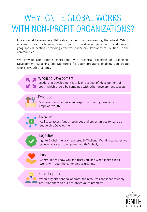### WHY IGNITE GLOBAL WORKS WITH NON-PROFIT ORGANIZATIONS?

Ignite global believes in collaboration rather than re-inventing the wheel. Which enables us reach a large number of youth from diverse backgrounds and various geographical locations providing effective Leadership Development Solutions in the communities.

We provide Non-Profit Organizations with technical expertise of Leadership Development, Coaching and Mentoring for youth programs enabling you create wholistic youth programs.

#### Wholistic Development

Leadership Development is only one aspect of development of youth which should be combined with other development aspects.



#### Expertise

You have the experience and expertise creating programs to empower youth.



#### Investment

Ability to access funds, resources and opportunities to scale up Leadership Development.



#### **Legalities**

Ignite Global is legally registered in Thailand. Working together, we gain legal access to empower youth Globally.

#### **Trust**

Communities know you and trust you, and when Ignite Global works with you, the communities trust us.



#### Build Together

When organizations collaborate, the resources and ideas multiply, providing space to build stronger youth programs.

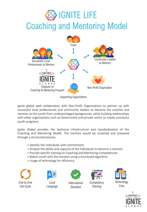### **IGNITE LIFE** Coaching and Mentoring Model



Supporting Organizations

Ignite global seek collaboration with Non-Profit Organizations to partner up with successful local professionals and community leaders to become the coaches and mentors to the youth from underprivileged backgrounds, while building relationships with other organizations such as Government and private sector to create successful youth programs.

Ignite Global provides the technical infrastructure and standardization of the Coaching and Mentoring Model. The mentors would be screened and prepared through a structured process.

- + Identify the individuals with commitment.
- + Analyze the ability and capacity of the individuals to become a mentors.
- + Provide specific training on Coaching and Mentoring Competencies.
- + Match youth with the mentors using a structured algorithm.
- + Usage of technology for efficiency.





Local Language



International **Standard** 



**Training** 



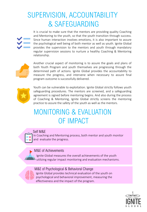### SUPERVISION, ACCOUNTABILITY & SAFEGUARDING



It is crucial to make sure that the mentors are providing quality Coaching and Mentoring to the youth, so that the youth transition through success. Since human interaction involves emotions, it is also important to assure the psychological well being of both mentor as well as youth. Ignite Global provides the supervision to the mentors and youth through mandatory regular supervision sessions to nurture a healthy Coaching & Mentoring relationship.



Another crucial aspect of monitoring is to assure the goals and plans of both Youth Program and youth themselves are progressing through the determined path of actions. Ignite Global provides the accountability to measure the progress, and intervene when necessary to assure final program outcome is successfully delivered.



Youth can be vulnerable to exploitation. Ignite Global strictly follows youth safeguarding procedures. The mentors are screened, and a safeguarding agreement is signed before mentoring begins. And also during the process of Coaching & Mentoring, Ignite Global strictly screens the mentoring practice to assure the safety of the youth as well as the mentors.

### MONITORING & EVALUATION OF IMPACT

#### Self M&E

In Coaching and Mentoring process, both mentor and youth monitor and evaluate the progress.

#### M&E of Achievements

Ignite Global measures the overall achievements of the youth utilizing regular impact monitoring and evaluation mechanisms.

M&E of Psychological & Behavioral Change

Ignite Global provides technical evaluation of the youth on psychological and behavioral improvement, measuring the effectiveness and the impact of the program.

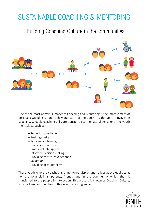### SUSTAINABLE COACHING & MENTORING

Building Coaching Culture in the communities.



One of the most powerful impact of Coaching and Mentoring is the improvement of positive psychological and Behavioral state of the youth. As the youth engages in coaching, valuable coaching skills are transferred to the natural behavior of the youth themselves, such as;

- + Powerful questioning
- + Seeking clarity
- + Systematic planning
- + Building awareness
- + Emotional intelligence
- + Informed decision making
- + Providing constructive feedback
- + Validation
- + Providing accountability

Those youth who are coached and mentored display and reflect above qualities at home among siblings, parents, friends, and in the community, which then is transferred to the people in interaction. This process is known as Coaching Culture, which allows communities to thrive with a lasting impact.